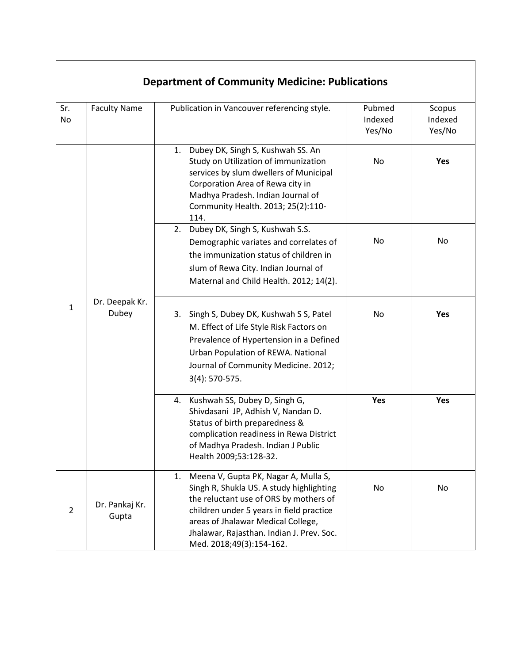|                | <b>Department of Community Medicine: Publications</b> |                                                                                                                                                                                                                                                                                             |                             |                             |  |  |  |
|----------------|-------------------------------------------------------|---------------------------------------------------------------------------------------------------------------------------------------------------------------------------------------------------------------------------------------------------------------------------------------------|-----------------------------|-----------------------------|--|--|--|
| Sr.<br>No      | <b>Faculty Name</b>                                   | Publication in Vancouver referencing style.                                                                                                                                                                                                                                                 | Pubmed<br>Indexed<br>Yes/No | Scopus<br>Indexed<br>Yes/No |  |  |  |
|                |                                                       | Dubey DK, Singh S, Kushwah SS. An<br>1.<br>Study on Utilization of immunization<br>services by slum dwellers of Municipal<br>Corporation Area of Rewa city in<br>Madhya Pradesh. Indian Journal of<br>Community Health. 2013; 25(2):110-<br>114.                                            | No                          | Yes                         |  |  |  |
| $\mathbf{1}$   | Dr. Deepak Kr.<br>Dubey                               | Dubey DK, Singh S, Kushwah S.S.<br>2.<br>Demographic variates and correlates of<br>the immunization status of children in<br>slum of Rewa City. Indian Journal of<br>Maternal and Child Health. 2012; 14(2).                                                                                | No                          | No                          |  |  |  |
|                |                                                       | Singh S, Dubey DK, Kushwah S S, Patel<br>3.<br>M. Effect of Life Style Risk Factors on<br>Prevalence of Hypertension in a Defined<br>Urban Population of REWA. National<br>Journal of Community Medicine. 2012;<br>$3(4): 570-575.$                                                         | No                          | Yes                         |  |  |  |
|                |                                                       | Kushwah SS, Dubey D, Singh G,<br>4.<br>Shivdasani JP, Adhish V, Nandan D.<br>Status of birth preparedness &<br>complication readiness in Rewa District<br>of Madhya Pradesh. Indian J Public<br>Health 2009;53:128-32.                                                                      | Yes                         | Yes                         |  |  |  |
| $\overline{2}$ | Dr. Pankaj Kr.<br>Gupta                               | Meena V, Gupta PK, Nagar A, Mulla S,<br>1.<br>Singh R, Shukla US. A study highlighting<br>the reluctant use of ORS by mothers of<br>children under 5 years in field practice<br>areas of Jhalawar Medical College,<br>Jhalawar, Rajasthan. Indian J. Prev. Soc.<br>Med. 2018;49(3):154-162. | No                          | No                          |  |  |  |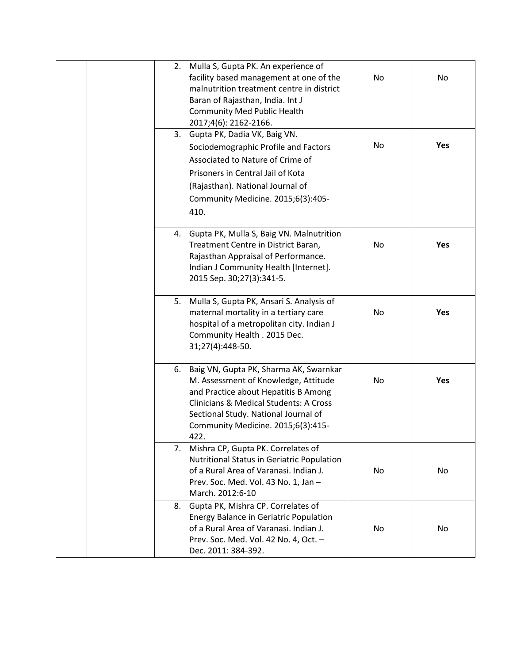| 2.<br>3. | Mulla S, Gupta PK. An experience of<br>facility based management at one of the<br>malnutrition treatment centre in district<br>Baran of Rajasthan, India. Int J<br><b>Community Med Public Health</b><br>2017;4(6): 2162-2166.<br>Gupta PK, Dadia VK, Baig VN.<br>Sociodemographic Profile and Factors<br>Associated to Nature of Crime of<br>Prisoners in Central Jail of Kota<br>(Rajasthan). National Journal of | No<br>No | No<br>Yes  |
|----------|---------------------------------------------------------------------------------------------------------------------------------------------------------------------------------------------------------------------------------------------------------------------------------------------------------------------------------------------------------------------------------------------------------------------|----------|------------|
|          | Community Medicine. 2015;6(3):405-<br>410.                                                                                                                                                                                                                                                                                                                                                                          |          |            |
|          | 4. Gupta PK, Mulla S, Baig VN. Malnutrition<br>Treatment Centre in District Baran,<br>Rajasthan Appraisal of Performance.<br>Indian J Community Health [Internet].<br>2015 Sep. 30;27(3):341-5.                                                                                                                                                                                                                     | No       | <b>Yes</b> |
| 5.       | Mulla S, Gupta PK, Ansari S. Analysis of<br>maternal mortality in a tertiary care<br>hospital of a metropolitan city. Indian J<br>Community Health . 2015 Dec.<br>31;27(4):448-50.                                                                                                                                                                                                                                  | No       | <b>Yes</b> |
|          | 6. Baig VN, Gupta PK, Sharma AK, Swarnkar<br>M. Assessment of Knowledge, Attitude<br>and Practice about Hepatitis B Among<br><b>Clinicians &amp; Medical Students: A Cross</b><br>Sectional Study. National Journal of<br>Community Medicine. 2015;6(3):415-<br>422.                                                                                                                                                | No       | <b>Yes</b> |
| 7.       | Mishra CP, Gupta PK. Correlates of<br>Nutritional Status in Geriatric Population<br>of a Rural Area of Varanasi. Indian J.<br>Prev. Soc. Med. Vol. 43 No. 1, Jan-<br>March. 2012:6-10                                                                                                                                                                                                                               | No       | No         |
| 8.       | Gupta PK, Mishra CP. Correlates of<br><b>Energy Balance in Geriatric Population</b><br>of a Rural Area of Varanasi. Indian J.<br>Prev. Soc. Med. Vol. 42 No. 4, Oct. -<br>Dec. 2011: 384-392.                                                                                                                                                                                                                       | No       | No         |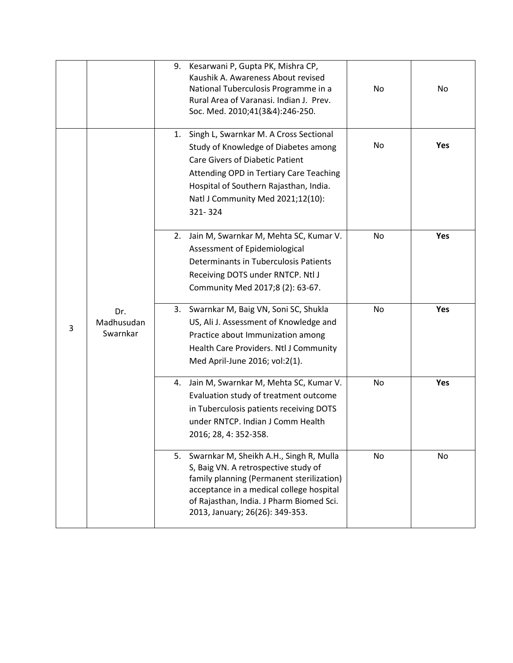|   |                               | 9. | Kesarwani P, Gupta PK, Mishra CP,<br>Kaushik A. Awareness About revised<br>National Tuberculosis Programme in a<br>Rural Area of Varanasi. Indian J. Prev.<br>Soc. Med. 2010;41(3&4):246-250.                                                                 | No | No  |
|---|-------------------------------|----|---------------------------------------------------------------------------------------------------------------------------------------------------------------------------------------------------------------------------------------------------------------|----|-----|
| 3 |                               | 1. | Singh L, Swarnkar M. A Cross Sectional<br>Study of Knowledge of Diabetes among<br><b>Care Givers of Diabetic Patient</b><br>Attending OPD in Tertiary Care Teaching<br>Hospital of Southern Rajasthan, India.<br>Natl J Community Med 2021;12(10):<br>321-324 | No | Yes |
|   | Dr.<br>Madhusudan<br>Swarnkar | 2. | Jain M, Swarnkar M, Mehta SC, Kumar V.<br>Assessment of Epidemiological<br>Determinants in Tuberculosis Patients<br>Receiving DOTS under RNTCP. Ntl J<br>Community Med 2017;8 (2): 63-67.                                                                     | No | Yes |
|   |                               |    | 3. Swarnkar M, Baig VN, Soni SC, Shukla<br>US, Ali J. Assessment of Knowledge and<br>Practice about Immunization among<br>Health Care Providers. Ntl J Community<br>Med April-June 2016; vol:2(1).                                                            | No | Yes |
|   |                               | 4. | Jain M, Swarnkar M, Mehta SC, Kumar V.<br>Evaluation study of treatment outcome<br>in Tuberculosis patients receiving DOTS<br>under RNTCP. Indian J Comm Health<br>2016; 28, 4: 352-358.                                                                      | No | Yes |
|   |                               |    | 5. Swarnkar M, Sheikh A.H., Singh R, Mulla<br>S, Baig VN. A retrospective study of<br>family planning (Permanent sterilization)<br>acceptance in a medical college hospital<br>of Rajasthan, India. J Pharm Biomed Sci.<br>2013, January; 26(26): 349-353.    | No | No  |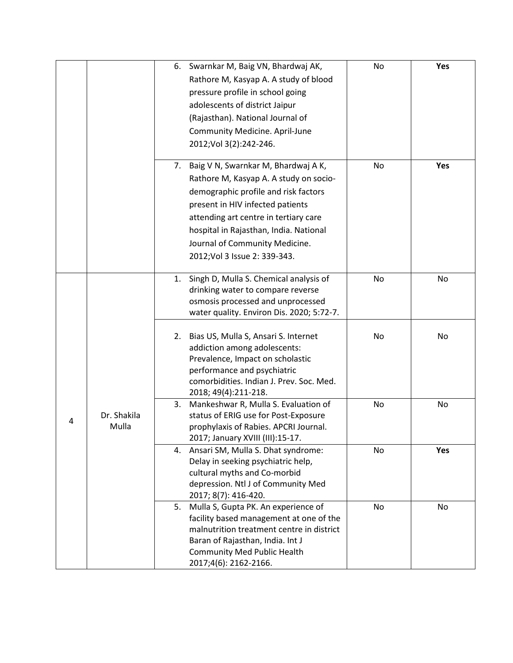|   |             |    | 6. Swarnkar M, Baig VN, Bhardwaj AK,                                 | No             | Yes |
|---|-------------|----|----------------------------------------------------------------------|----------------|-----|
|   |             |    | Rathore M, Kasyap A. A study of blood                                |                |     |
|   |             |    | pressure profile in school going                                     |                |     |
|   |             |    | adolescents of district Jaipur                                       |                |     |
|   |             |    | (Rajasthan). National Journal of                                     |                |     |
|   |             |    | <b>Community Medicine. April-June</b>                                |                |     |
|   |             |    | 2012; Vol 3(2): 242-246.                                             |                |     |
|   |             |    |                                                                      |                |     |
|   |             | 7. | Baig V N, Swarnkar M, Bhardwaj A K,                                  | No             | Yes |
|   |             |    | Rathore M, Kasyap A. A study on socio-                               |                |     |
|   |             |    | demographic profile and risk factors                                 |                |     |
|   |             |    | present in HIV infected patients                                     |                |     |
|   |             |    | attending art centre in tertiary care                                |                |     |
|   |             |    | hospital in Rajasthan, India. National                               |                |     |
|   |             |    | Journal of Community Medicine.                                       |                |     |
|   |             |    | 2012; Vol 3 Issue 2: 339-343.                                        |                |     |
|   |             |    |                                                                      |                |     |
|   |             | 1. | Singh D, Mulla S. Chemical analysis of                               | N <sub>o</sub> | No  |
|   |             |    | drinking water to compare reverse                                    |                |     |
|   |             |    | osmosis processed and unprocessed                                    |                |     |
|   |             |    | water quality. Environ Dis. 2020; 5:72-7.                            |                |     |
|   |             |    |                                                                      | No             | No  |
|   |             | 2. | Bias US, Mulla S, Ansari S. Internet<br>addiction among adolescents: |                |     |
|   |             |    | Prevalence, Impact on scholastic                                     |                |     |
|   |             |    | performance and psychiatric                                          |                |     |
|   |             |    | comorbidities. Indian J. Prev. Soc. Med.                             |                |     |
|   |             |    | 2018; 49(4):211-218.                                                 |                |     |
|   |             | 3. | Mankeshwar R, Mulla S. Evaluation of                                 | No             | No  |
| 4 | Dr. Shakila |    | status of ERIG use for Post-Exposure                                 |                |     |
|   | Mulla       |    | prophylaxis of Rabies. APCRI Journal.                                |                |     |
|   |             |    | 2017; January XVIII (III):15-17.                                     |                |     |
|   |             | 4. | Ansari SM, Mulla S. Dhat syndrome:                                   | No             | Yes |
|   |             |    | Delay in seeking psychiatric help,                                   |                |     |
|   |             |    | cultural myths and Co-morbid<br>depression. Ntl J of Community Med   |                |     |
|   |             |    | 2017; 8(7): 416-420.                                                 |                |     |
|   |             | 5. | Mulla S, Gupta PK. An experience of                                  | No             | No  |
|   |             |    | facility based management at one of the                              |                |     |
|   |             |    | malnutrition treatment centre in district                            |                |     |
|   |             |    | Baran of Rajasthan, India. Int J                                     |                |     |
|   |             |    | <b>Community Med Public Health</b>                                   |                |     |
|   |             |    | 2017;4(6): 2162-2166.                                                |                |     |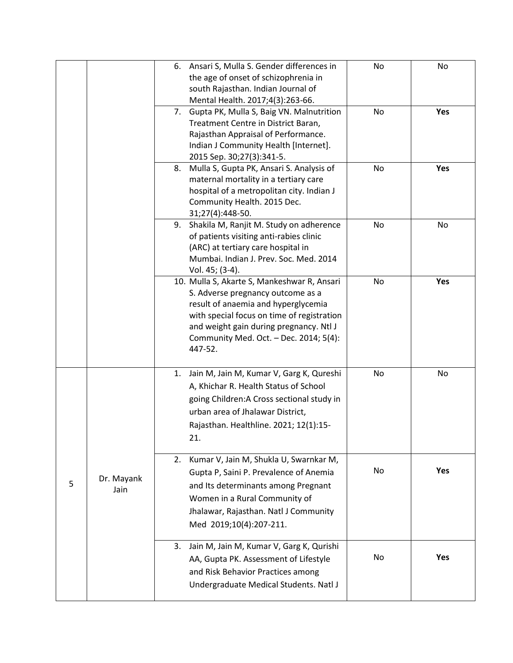|   |                    |    | 6. Ansari S, Mulla S. Gender differences in<br>the age of onset of schizophrenia in<br>south Rajasthan. Indian Journal of<br>Mental Health. 2017;4(3):263-66.                                                                                                         | No        | No         |
|---|--------------------|----|-----------------------------------------------------------------------------------------------------------------------------------------------------------------------------------------------------------------------------------------------------------------------|-----------|------------|
|   |                    | 7. | Gupta PK, Mulla S, Baig VN. Malnutrition<br>Treatment Centre in District Baran,<br>Rajasthan Appraisal of Performance.<br>Indian J Community Health [Internet].<br>2015 Sep. 30;27(3):341-5.                                                                          | <b>No</b> | Yes        |
|   |                    | 8. | Mulla S, Gupta PK, Ansari S. Analysis of<br>maternal mortality in a tertiary care<br>hospital of a metropolitan city. Indian J<br>Community Health. 2015 Dec.<br>31;27(4):448-50.                                                                                     | No        | Yes        |
|   |                    | 9. | Shakila M, Ranjit M. Study on adherence<br>of patients visiting anti-rabies clinic<br>(ARC) at tertiary care hospital in<br>Mumbai. Indian J. Prev. Soc. Med. 2014<br>Vol. 45; (3-4).                                                                                 | No        | No         |
|   |                    |    | 10. Mulla S, Akarte S, Mankeshwar R, Ansari<br>S. Adverse pregnancy outcome as a<br>result of anaemia and hyperglycemia<br>with special focus on time of registration<br>and weight gain during pregnancy. Ntl J<br>Community Med. Oct. - Dec. 2014; 5(4):<br>447-52. | No        | Yes        |
|   |                    | 1. | Jain M, Jain M, Kumar V, Garg K, Qureshi<br>A, Khichar R. Health Status of School<br>going Children: A Cross sectional study in<br>urban area of Jhalawar District,<br>Rajasthan. Healthline. 2021; 12(1):15-<br>21.                                                  | No        | No         |
| 5 | Dr. Mayank<br>Jain | 2. | Kumar V, Jain M, Shukla U, Swarnkar M,<br>Gupta P, Saini P. Prevalence of Anemia<br>and Its determinants among Pregnant<br>Women in a Rural Community of<br>Jhalawar, Rajasthan. Natl J Community<br>Med 2019;10(4):207-211.                                          | No        | Yes        |
|   |                    | 3. | Jain M, Jain M, Kumar V, Garg K, Qurishi<br>AA, Gupta PK. Assessment of Lifestyle<br>and Risk Behavior Practices among<br>Undergraduate Medical Students. Natl J                                                                                                      | No        | <b>Yes</b> |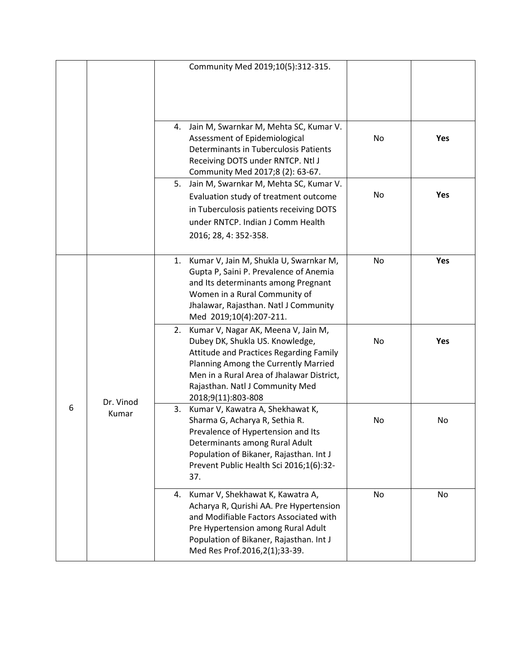|   |                    |    | Community Med 2019;10(5):312-315.                                                                                                                                                                                                                                  |    |            |
|---|--------------------|----|--------------------------------------------------------------------------------------------------------------------------------------------------------------------------------------------------------------------------------------------------------------------|----|------------|
|   |                    |    |                                                                                                                                                                                                                                                                    |    |            |
|   |                    |    | 4. Jain M, Swarnkar M, Mehta SC, Kumar V.<br>Assessment of Epidemiological<br>Determinants in Tuberculosis Patients<br>Receiving DOTS under RNTCP. Ntl J<br>Community Med 2017;8 (2): 63-67.                                                                       | No | <b>Yes</b> |
|   |                    | 5. | Jain M, Swarnkar M, Mehta SC, Kumar V.<br>Evaluation study of treatment outcome<br>in Tuberculosis patients receiving DOTS<br>under RNTCP. Indian J Comm Health<br>2016; 28, 4: 352-358.                                                                           | No | Yes        |
| 6 | Dr. Vinod<br>Kumar |    | 1. Kumar V, Jain M, Shukla U, Swarnkar M,<br>Gupta P, Saini P. Prevalence of Anemia<br>and Its determinants among Pregnant<br>Women in a Rural Community of<br>Jhalawar, Rajasthan. Natl J Community<br>Med 2019;10(4):207-211.                                    | No | Yes        |
|   |                    |    | 2. Kumar V, Nagar AK, Meena V, Jain M,<br>Dubey DK, Shukla US. Knowledge,<br>Attitude and Practices Regarding Family<br>Planning Among the Currently Married<br>Men in a Rural Area of Jhalawar District,<br>Rajasthan. Natl J Community Med<br>2018;9(11):803-808 | No | Yes        |
|   |                    | 3. | Kumar V, Kawatra A, Shekhawat K,<br>Sharma G, Acharya R, Sethia R.<br>Prevalence of Hypertension and Its<br>Determinants among Rural Adult<br>Population of Bikaner, Rajasthan. Int J<br>Prevent Public Health Sci 2016;1(6):32-<br>37.                            | No | No         |
|   |                    |    | 4. Kumar V, Shekhawat K, Kawatra A,<br>Acharya R, Qurishi AA. Pre Hypertension<br>and Modifiable Factors Associated with<br>Pre Hypertension among Rural Adult<br>Population of Bikaner, Rajasthan. Int J<br>Med Res Prof.2016,2(1);33-39.                         | No | No         |